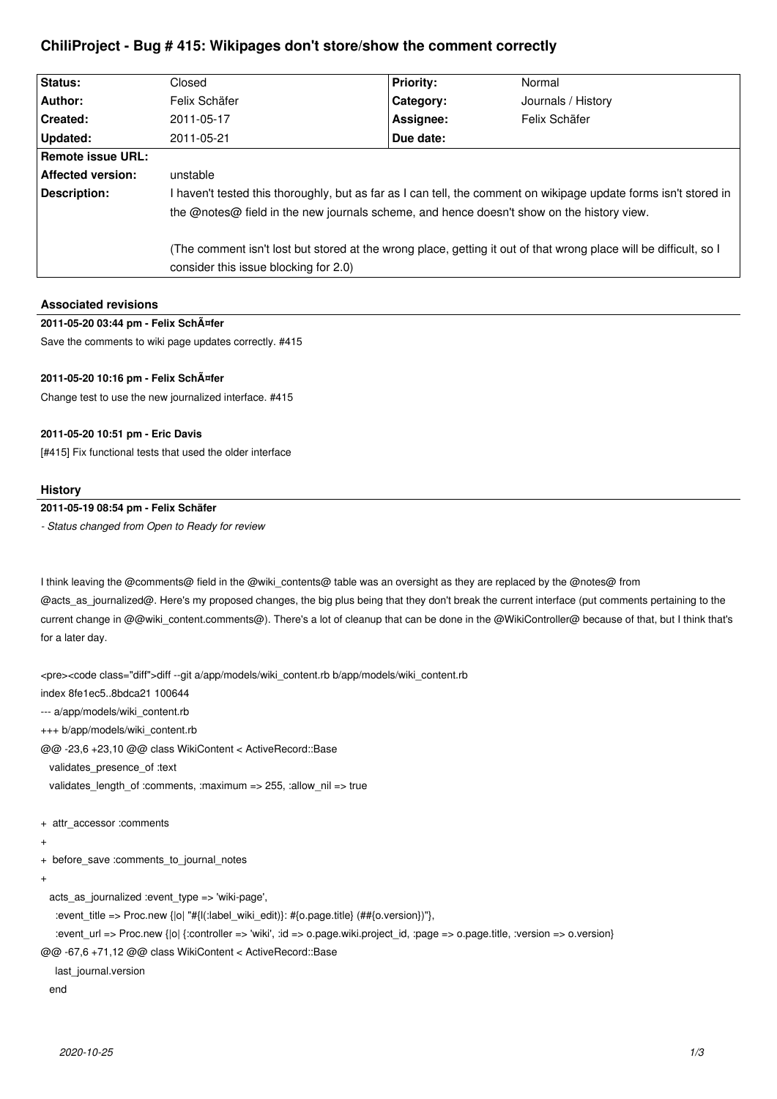# **ChiliProject - Bug # 415: Wikipages don't store/show the comment correctly**

| Status:           | Closed                                                                                                                                                     | <b>Priority:</b> | Normal             |
|-------------------|------------------------------------------------------------------------------------------------------------------------------------------------------------|------------------|--------------------|
| Author:           | Felix Schäfer                                                                                                                                              | Category:        | Journals / History |
| Created:          | 2011-05-17                                                                                                                                                 | Assignee:        | Felix Schäfer      |
| Updated:          | 2011-05-21                                                                                                                                                 | Due date:        |                    |
| Remote issue URL: |                                                                                                                                                            |                  |                    |
| Affected version: | unstable                                                                                                                                                   |                  |                    |
| Description:      | I haven't tested this thoroughly, but as far as I can tell, the comment on wikipage update forms isn't stored in                                           |                  |                    |
|                   | the @notes@ field in the new journals scheme, and hence doesn't show on the history view.                                                                  |                  |                    |
|                   | (The comment isn't lost but stored at the wrong place, getting it out of that wrong place will be difficult, so I<br>consider this issue blocking for 2.0) |                  |                    |

| <b>Associated revisions</b>                            |
|--------------------------------------------------------|
| 2011-05-20 03:44 pm - Felix SchA¤fer                   |
| Save the comments to wiki page updates correctly. #415 |

## **2011-05-20 10:16 pm - Felix Schäfer**

Change test to use the new journalized interface. #415

## **2011-05-20 10:51 pm - Eric Davis**

[#415] Fix functional tests that used the older interface

#### **History**

## **2011-05-19 08:54 pm - Felix Schäfer**

*- Status changed from Open to Ready for review*

I think leaving the @comments@ field in the @wiki\_contents@ table was an oversight as they are replaced by the @notes@ from @acts\_as\_journalized@. Here's my proposed changes, the big plus being that they don't break the current interface (put comments pertaining to the current change in @@wiki\_content.comments@). There's a lot of cleanup that can be done in the @WikiController@ because of that, but I think that's for a later day.

<pre><code class="diff">diff --git a/app/models/wiki\_content.rb b/app/models/wiki\_content.rb index 8fe1ec5..8bdca21 100644 --- a/app/models/wiki\_content.rb +++ b/app/models/wiki\_content.rb @@ -23,6 +23,10 @@ class WikiContent < ActiveRecord::Base validates\_presence\_of :text validates\_length\_of :comments, :maximum => 255, :allow\_nil => true + attr\_accessor :comments + + before\_save :comments\_to\_journal\_notes + acts\_as\_journalized :event\_type => 'wiki-page', :event\_title => Proc.new {|o| "#{l(:label\_wiki\_edit)}: #{o.page.title} (##{o.version})"}, :event\_url => Proc.new {|o| {:controller => 'wiki', :id => o.page.wiki.project\_id, :page => o.page.title, :version => o.version} @@ -67,6 +71,12 @@ class WikiContent < ActiveRecord::Base

last\_journal.version

end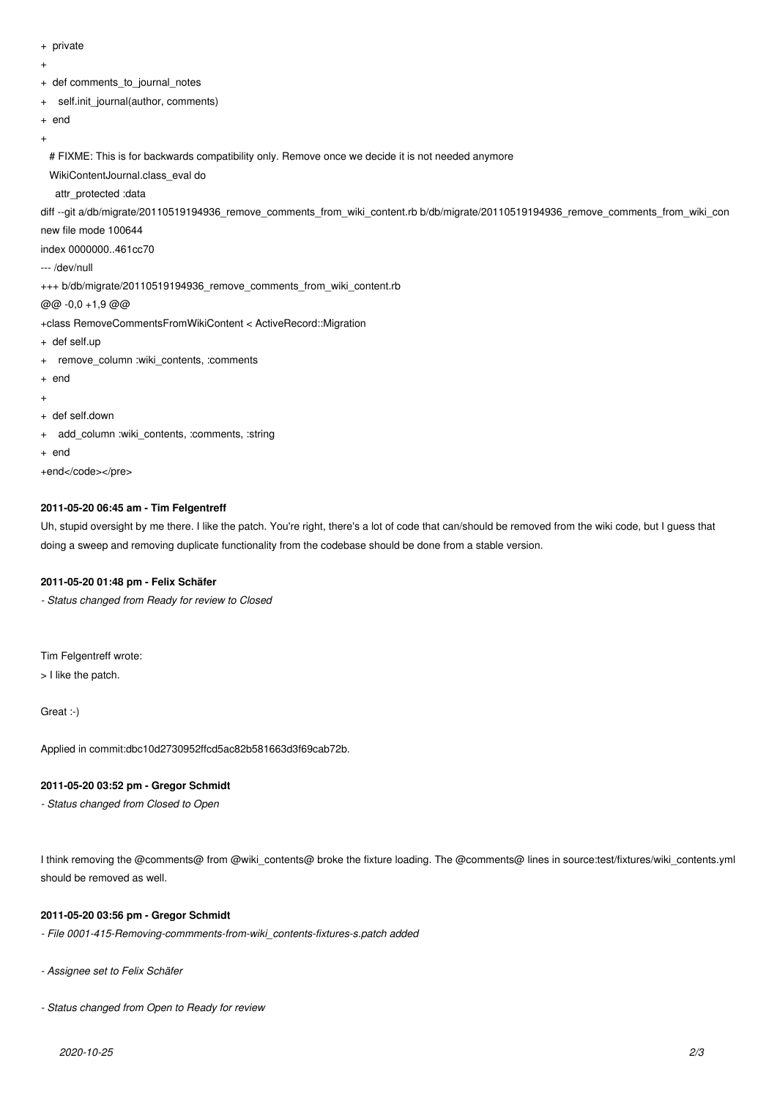- + private
- +
- + def comments\_to\_journal\_notes
- + self.init\_journal(author, comments)
- + end

+

# FIXME: This is for backwards compatibility only. Remove once we decide it is not needed anymore

WikiContentJournal.class\_eval do

attr\_protected :data

diff --git a/db/migrate/20110519194936 remove comments from wiki content.rb b/db/migrate/20110519194936 remove comments from wiki con

new file mode 100644

index 0000000..461cc70

--- /dev/null

+++ b/db/migrate/20110519194936\_remove\_comments\_from\_wiki\_content.rb

@@ -0,0 +1,9 @@

+class RemoveCommentsFromWikiContent < ActiveRecord::Migration

- + def self.up
- + remove\_column :wiki\_contents, :comments
- + end

+

- + def self.down
- + add\_column :wiki\_contents, :comments, :string
- + end

+end</code></pre>

## **2011-05-20 06:45 am - Tim Felgentreff**

Uh, stupid oversight by me there. I like the patch. You're right, there's a lot of code that can/should be removed from the wiki code, but I guess that doing a sweep and removing duplicate functionality from the codebase should be done from a stable version.

#### **2011-05-20 01:48 pm - Felix Schäfer**

*- Status changed from Ready for review to Closed*

Tim Felgentreff wrote:

> I like the patch.

Great :-)

Applied in commit:dbc10d2730952ffcd5ac82b581663d3f69cab72b.

#### **2011-05-20 03:52 pm - Gregor Schmidt**

*- Status changed from Closed to Open*

I think removing the @comments@ from @wiki\_contents@ broke the fixture loading. The @comments@ lines in source:test/fixtures/wiki\_contents.yml should be removed as well.

## **2011-05-20 03:56 pm - Gregor Schmidt**

*- File 0001-415-Removing-commments-from-wiki\_contents-fixtures-s.patch added*

*- Assignee set to Felix Schäfer*

*- Status changed from Open to Ready for review*